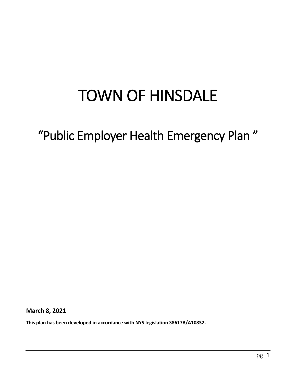# TOWN OF HINSDALE

## "Public Employer Health Emergency Plan "

**March 8, 2021**

**This plan has been developed in accordance with NYS legislation S8617B/A10832.**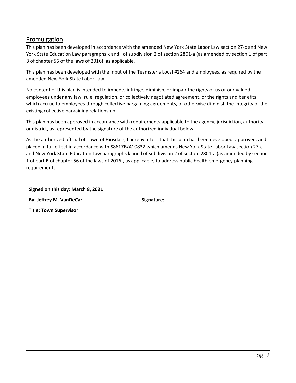#### <span id="page-1-0"></span>Promulgation

This plan has been developed in accordance with the amended New York State Labor Law section 27-c and New York State Education Law paragraphs k and l of subdivision 2 of section 2801-a (as amended by section 1 of part B of chapter 56 of the laws of 2016), as applicable.

This plan has been developed with the input of the Teamster's Local #264 and employees, as required by the amended New York State Labor Law.

No content of this plan is intended to impede, infringe, diminish, or impair the rights of us or our valued employees under any law, rule, regulation, or collectively negotiated agreement, or the rights and benefits which accrue to employees through collective bargaining agreements, or otherwise diminish the integrity of the existing collective bargaining relationship.

This plan has been approved in accordance with requirements applicable to the agency, jurisdiction, authority, or district, as represented by the signature of the authorized individual below.

As the authorized official of Town of Hinsdale, I hereby attest that this plan has been developed, approved, and placed in full effect in accordance with S8617B/A10832 which amends New York State Labor Law section 27-c and New York State Education Law paragraphs k and l of subdivision 2 of section 2801-a (as amended by section 1 of part B of chapter 56 of the laws of 2016), as applicable, to address public health emergency planning requirements.

**Signed on this day: March 8, 2021 By: Jeffrey M. VanDeCar Signature: Signature: Signature: Signature: Signature: Signature: Signature: Signature: Signature: Signature: Signature: Signature: Signature: Signature: Signature:**

**Title: Town Supervisor**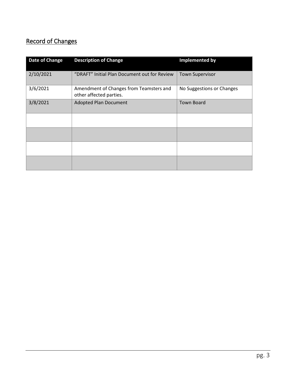## <span id="page-2-0"></span>Record of Changes

| Date of Change | <b>Description of Change</b>                                       | <b>Implemented by</b>     |  |
|----------------|--------------------------------------------------------------------|---------------------------|--|
| 2/10/2021      | "DRAFT" Initial Plan Document out for Review                       | <b>Town Supervisor</b>    |  |
| 3/6/2021       | Amendment of Changes from Teamsters and<br>other affected parties. | No Suggestions or Changes |  |
| 3/8/2021       | <b>Adopted Plan Document</b>                                       | <b>Town Board</b>         |  |
|                |                                                                    |                           |  |
|                |                                                                    |                           |  |
|                |                                                                    |                           |  |
|                |                                                                    |                           |  |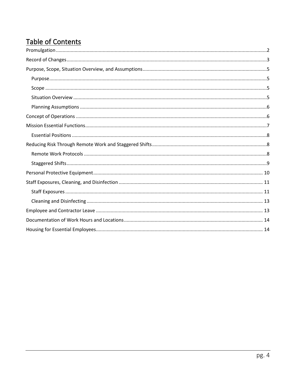## Table of Contents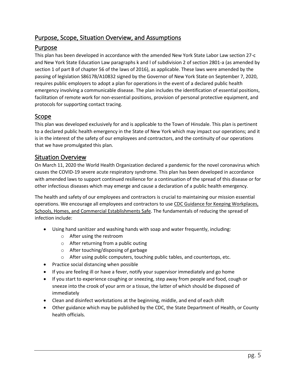#### <span id="page-4-0"></span>Purpose, Scope, Situation Overview, and Assumptions

#### <span id="page-4-1"></span>Purpose

This plan has been developed in accordance with the amended New York State Labor Law section 27-c and New York State Education Law paragraphs k and l of subdivision 2 of section 2801-a (as amended by section 1 of part B of chapter 56 of the laws of 2016), as applicable. These laws were amended by the passing of legislation S8617B/A10832 signed by the Governor of New York State on September 7, 2020, requires public employers to adopt a plan for operations in the event of a declared public health emergency involving a communicable disease. The plan includes the identification of essential positions, facilitation of remote work for non-essential positions, provision of personal protective equipment, and protocols for supporting contact tracing.

#### <span id="page-4-2"></span>Scope

This plan was developed exclusively for and is applicable to the Town of Hinsdale. This plan is pertinent to a declared public health emergency in the State of New York which may impact our operations; and it is in the interest of the safety of our employees and contractors, and the continuity of our operations that we have promulgated this plan.

#### <span id="page-4-3"></span>Situation Overview

On March 11, 2020 the World Health Organization declared a pandemic for the novel coronavirus which causes the COVID-19 severe acute respiratory syndrome. This plan has been developed in accordance with amended laws to support continued resilience for a continuation of the spread of this disease or for other infectious diseases which may emerge and cause a declaration of a public health emergency.

The health and safety of our employees and contractors is crucial to maintaining our mission essential operations. We encourage all employees and contractors to use [CDC Guidance for Keeping Workplaces,](https://www.cdc.gov/coronavirus/2019-ncov/downloads/workplace-school-and-home-guidance.pdf)  [Schools, Homes, and Commercial Establishments Safe.](https://www.cdc.gov/coronavirus/2019-ncov/downloads/workplace-school-and-home-guidance.pdf) The fundamentals of reducing the spread of infection include:

- Using hand sanitizer and washing hands with soap and water frequently, including:
	- o After using the restroom
	- o After returning from a public outing
	- o After touching/disposing of garbage
	- o After using public computers, touching public tables, and countertops, etc.
- Practice social distancing when possible
- If you are feeling ill or have a fever, notify your supervisor immediately and go home
- If you start to experience coughing or sneezing, step away from people and food, cough or sneeze into the crook of your arm or a tissue, the latter of which should be disposed of immediately
- Clean and disinfect workstations at the beginning, middle, and end of each shift
- Other guidance which may be published by the CDC, the State Department of Health, or County health officials.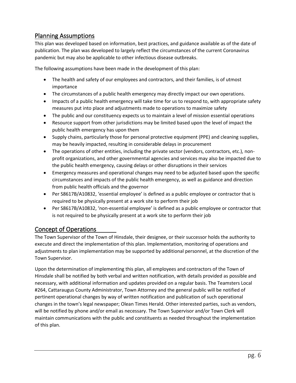#### <span id="page-5-0"></span>Planning Assumptions

This plan was developed based on information, best practices, and guidance available as of the date of publication. The plan was developed to largely reflect the circumstances of the current Coronavirus pandemic but may also be applicable to other infectious disease outbreaks.

The following assumptions have been made in the development of this plan:

- The health and safety of our employees and contractors, and their families, is of utmost importance
- The circumstances of a public health emergency may directly impact our own operations.
- Impacts of a public health emergency will take time for us to respond to, with appropriate safety measures put into place and adjustments made to operations to maximize safety
- The public and our constituency expects us to maintain a level of mission essential operations
- Resource support from other jurisdictions may be limited based upon the level of impact the public health emergency has upon them
- Supply chains, particularly those for personal protective equipment (PPE) and cleaning supplies, may be heavily impacted, resulting in considerable delays in procurement
- The operations of other entities, including the private sector (vendors, contractors, etc.), nonprofit organizations, and other governmental agencies and services may also be impacted due to the public health emergency, causing delays or other disruptions in their services
- Emergency measures and operational changes may need to be adjusted based upon the specific circumstances and impacts of the public health emergency, as well as guidance and direction from public health officials and the governor
- Per S8617B/A10832, 'essential employee' is defined as a public employee or contractor that is required to be physically present at a work site to perform their job
- Per S8617B/A10832, 'non-essential employee' is defined as a public employee or contractor that is not required to be physically present at a work site to perform their job

#### <span id="page-5-1"></span>Concept of Operations

The Town Supervisor of the Town of Hinsdale, their designee, or their successor holds the authority to execute and direct the implementation of this plan. Implementation, monitoring of operations and adjustments to plan implementation may be supported by additional personnel, at the discretion of the Town Supervisor.

Upon the determination of implementing this plan, all employees and contractors of the Town of Hinsdale shall be notified by both verbal and written notification, with details provided as possible and necessary, with additional information and updates provided on a regular basis. The Teamsters Local #264, Cattaraugus County Administrator, Town Attorney and the general public will be notified of pertinent operational changes by way of written notification and publication of such operational changes in the town's legal newspaper; Olean Times Herald. Other interested parties, such as vendors, will be notified by phone and/or email as necessary. The Town Supervisor and/or Town Clerk will maintain communications with the public and constituents as needed throughout the implementation of this plan.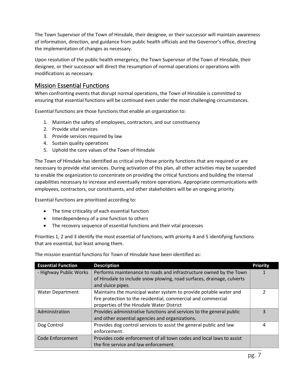The Town Supervisor of the Town of Hinsdale, their designee, or their successor will maintain awareness of information, direction, and guidance from public health officials and the Governor's office, directing the implementation of changes as necessary.

Upon resolution of the public health emergency, the Town Supervisor of the Town of Hinsdale, their designee, or their successor will direct the resumption of normal operations or operations with modifications as necessary.

#### <span id="page-6-0"></span>Mission Essential Functions

When confronting events that disrupt normal operations, the Town of Hinsdale is committed to ensuring that essential functions will be continued even under the most challenging circumstances.

Essential functions are those functions that enable an organization to:

- 1. Maintain the safety of employees, contractors, and our constituency
- 2. Provide vital services
- 3. Provide services required by law
- 4. Sustain quality operations
- 5. Uphold the core values of the Town of Hinsdale

The Town of Hinsdale has identified as critical only those priority functions that are required or are necessary to provide vital services. During activation of this plan, all other activities may be suspended to enable the organization to concentrate on providing the critical functions and building the internal capabilities necessary to increase and eventually restore operations. Appropriate communications with employees, contractors, our constituents, and other stakeholders will be an ongoing priority.

Essential functions are prioritized according to:

- The time criticality of each essential function
- Interdependency of a one function to others
- The recovery sequence of essential functions and their vital processes

Priorities 1, 2 and 3 identify the most essential of functions, with priority 4 and 5 identifying functions that are essential, but least among them.

| <b>Essential Function</b> | <b>Description</b>                                                     | <b>Priority</b> |
|---------------------------|------------------------------------------------------------------------|-----------------|
| - Highway Public Works    | Performs maintenance to roads and infrastructure owned by the Town     |                 |
|                           | of Hinsdale to include snow plowing, road surfaces, drainage, culverts |                 |
|                           | and sluice pipes.                                                      |                 |
| <b>Water Department</b>   | Maintains the municipal water system to provide potable water and      | $\mathcal{P}$   |
|                           | fire protection to the residential, commercial and commercial          |                 |
|                           | properties of the Hinsdale Water District                              |                 |
| Administration            | Provides administrative functions and services to the general public   | 3               |
|                           | and other essential agencies and organizations.                        |                 |
| Dog Control               | Provides dog control services to assist the general public and law     | 4               |
|                           | enforcement.                                                           |                 |
| Code Enforcement          | Provides code enforcement of all town codes and local laws to assist   |                 |
|                           | the fire service and law enforcement.                                  |                 |

The mission essential functions for Town of Hinsdale have been identified as: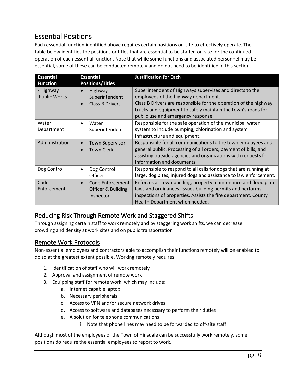## <span id="page-7-0"></span>Essential Positions

Each essential function identified above requires certain positions on-site to effectively operate. The table below identifies the positions or titles that are essential to be staffed on-site for the continued operation of each essential function. Note that while some functions and associated personnel may be essential, some of these can be conducted remotely and do not need to be identified in this section.

| <b>Essential</b><br><b>Function</b> | <b>Essential</b><br><b>Positions/Titles</b>                                   | <b>Justification for Each</b>                                                                                                                                                                                                                                              |
|-------------------------------------|-------------------------------------------------------------------------------|----------------------------------------------------------------------------------------------------------------------------------------------------------------------------------------------------------------------------------------------------------------------------|
| - Highway<br><b>Public Works</b>    | Highway<br>$\bullet$<br>Superintendent<br><b>Class B Drivers</b><br>$\bullet$ | Superintendent of Highways supervises and directs to the<br>employees of the highway department.<br>Class B Drivers are responsible for the operation of the highway<br>trucks and equipment to safely maintain the town's roads for<br>public use and emergency response. |
| Water<br>Department                 | Water<br>$\bullet$<br>Superintendent                                          | Responsible for the safe operation of the municipal water<br>system to include pumping, chlorination and system<br>infrastructure and equipment.                                                                                                                           |
| Administration                      | <b>Town Supervisor</b><br>$\bullet$<br><b>Town Clerk</b><br>$\bullet$         | Responsible for all communications to the town employees and<br>general public. Processing of all orders, payment of bills, and<br>assisting outside agencies and organizations with requests for<br>information and documents.                                            |
| Dog Control                         | Dog Control<br>$\bullet$<br>Officer                                           | Responsible to respond to all calls for dogs that are running at<br>large, dog bites, injured dogs and assistance to law enforcement.                                                                                                                                      |
| Code<br>Enforcement                 | Code Enforcement<br>$\bullet$<br>Officer & Building<br>Inspector              | Enforces all town building, property maintenance and flood plan<br>laws and ordinances. Issues building permits and performs<br>inspections of properties. Assists the fire department, County<br>Health Department when needed.                                           |

#### <span id="page-7-1"></span>Reducing Risk Through Remote Work and Staggered Shifts

Through assigning certain staff to work remotely and by staggering work shifts, we can decrease crowding and density at work sites and on public transportation

#### <span id="page-7-2"></span>Remote Work Protocols

Non-essential employees and contractors able to accomplish their functions remotely will be enabled to do so at the greatest extent possible. Working remotely requires:

- 1. Identification of staff who will work remotely
- 2. Approval and assignment of remote work
- 3. Equipping staff for remote work, which may include:
	- a. Internet capable laptop
	- b. Necessary peripherals
	- c. Access to VPN and/or secure network drives
	- d. Access to software and databases necessary to perform their duties
	- e. A solution for telephone communications
		- i. Note that phone lines may need to be forwarded to off-site staff

Although most of the employees of the Town of Hinsdale can be successfully work remotely, some positions do require the essential employees to report to work.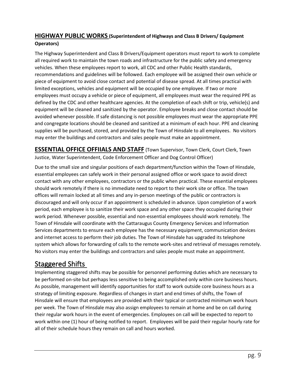#### **HIGHWAY PUBLIC WORKS (Superintendent of Highways and Class B Drivers/ Equipment Operators)**

The Highway Superintendent and Class B Drivers/Equipment operators must report to work to complete all required work to maintain the town roads and infrastructure for the public safety and emergency vehicles. When these employees report to work, all CDC and other Public Health standards, recommendations and guidelines will be followed. Each employee will be assigned their own vehicle or piece of equipment to avoid close contact and potential of disease spread. At all times practical with limited exceptions, vehicles and equipment will be occupied by one employee. If two or more employees must occupy a vehicle or piece of equipment, all employees must wear the required PPE as defined by the CDC and other healthcare agencies. At the completion of each shift or trip, vehicle(s) and equipment will be cleaned and sanitized by the operator. Employee breaks and close contact should be avoided whenever possible. If safe distancing is not possible employees must wear the appropriate PPE and congregate locations should be cleaned and sanitized at a minimum of each hour. PPE and cleaning supplies will be purchased, stored, and provided by the Town of Hinsdale to all employees. No visitors may enter the buildings and contractors and sales people must make an appointment.

**ESSENTIAL OFFICE OFFIIALS AND STAFF** (Town Supervisor, Town Clerk, Court Clerk, Town Justice, Water Superintendent, Code Enforcement Officer and Dog Control Officer)

Due to the small size and singular positions of each department/function within the Town of Hinsdale, essential employees can safely work in their personal assigned office or work space to avoid direct contact with any other employees, contractors or the public when practical. These essential employees should work remotely if there is no immediate need to report to their work site or office. The town offices will remain locked at all times and any in-person meetings of the public or contractors is discouraged and will only occur if an appointment is scheduled in advance. Upon completion of a work period, each employee is to sanitize their work space and any other space they occupied during their work period. Whenever possible, essential and non-essential employees should work remotely. The Town of Hinsdale will coordinate with the Cattaraugus County Emergency Services and Information Services departments to ensure each employee has the necessary equipment, communication devices and internet access to perform their job duties. The Town of Hinsdale has upgraded its telephone system which allows for forwarding of calls to the remote work-sites and retrieval of messages remotely. No visitors may enter the buildings and contractors and sales people must make an appointment.

### <span id="page-8-0"></span>Staggered Shifts

Implementing staggered shifts may be possible for personnel performing duties which are necessary to be performed on-site but perhaps less sensitive to being accomplished only within core business hours. As possible, management will identify opportunities for staff to work outside core business hours as a strategy of limiting exposure. Regardless of changes in start and end times of shifts, the Town of Hinsdale will ensure that employees are provided with their typical or contracted minimum work hours per week. The Town of Hinsdale may also assign employees to remain at home and be on call during their regular work hours in the event of emergencies. Employees on call will be expected to report to work within one (1) hour of being notified to report. Employees will be paid their regular hourly rate for all of their schedule hours they remain on call and hours worked.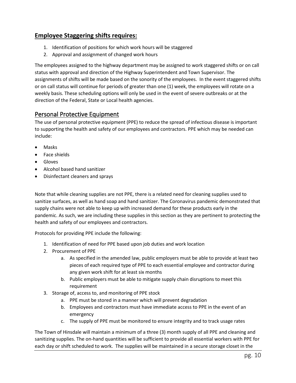#### **Employee Staggering shifts requires:**

- 1. Identification of positions for which work hours will be staggered
- 2. Approval and assignment of changed work hours

The employees assigned to the highway department may be assigned to work staggered shifts or on call status with approval and direction of the Highway Superintendent and Town Supervisor. The assignments of shifts will be made based on the sonority of the employees. In the event staggered shifts or on call status will continue for periods of greater than one (1) week, the employees will rotate on a weekly basis. These scheduling options will only be used in the event of severe outbreaks or at the direction of the Federal, State or Local health agencies.

#### <span id="page-9-0"></span>Personal Protective Equipment

The use of personal protective equipment (PPE) to reduce the spread of infectious disease is important to supporting the health and safety of our employees and contractors. PPE which may be needed can include:

- Masks
- Face shields
- Gloves
- Alcohol based hand sanitizer
- Disinfectant cleaners and sprays

Note that while cleaning supplies are not PPE, there is a related need for cleaning supplies used to sanitize surfaces, as well as hand soap and hand sanitizer. The Coronavirus pandemic demonstrated that supply chains were not able to keep up with increased demand for these products early in the pandemic. As such, we are including these supplies in this section as they are pertinent to protecting the health and safety of our employees and contractors.

Protocols for providing PPE include the following:

- 1. Identification of need for PPE based upon job duties and work location
- 2. Procurement of PPE
	- a. As specified in the amended law, public employers must be able to provide at least two pieces of each required type of PPE to each essential employee and contractor during any given work shift for at least six months
	- b. Public employers must be able to mitigate supply chain disruptions to meet this requirement
- 3. Storage of, access to, and monitoring of PPE stock
	- a. PPE must be stored in a manner which will prevent degradation
	- b. Employees and contractors must have immediate access to PPE in the event of an emergency
	- c. The supply of PPE must be monitored to ensure integrity and to track usage rates

The Town of Hinsdale will maintain a minimum of a three (3) month supply of all PPE and cleaning and sanitizing supplies. The on-hand quantities will be sufficient to provide all essential workers with PPE for each day or shift scheduled to work. The supplies will be maintained in a secure storage closet in the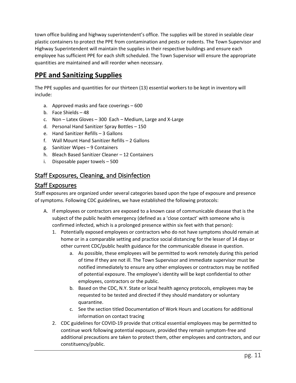town office building and highway superintendent's office. The supplies will be stored in sealable clear plastic containers to protect the PPE from contamination and pests or rodents. The Town Supervisor and Highway Superintendent will maintain the supplies in their respective buildings and ensure each employee has sufficient PPE for each shift scheduled. The Town Supervisor will ensure the appropriate quantities are maintained and will reorder when necessary.

## **PPE and Sanitizing Supplies**

The PPE supplies and quantities for our thirteen (13) essential workers to be kept in inventory will include:

- a. Approved masks and face coverings 600
- b. Face Shields 48
- c. Non Latex Gloves 300 Each Medium, Large and X-Large
- d. Personal Hand Sanitizer Spray Bottles 150
- e. Hand Sanitizer Refills 3 Gallons
- f. Wall Mount Hand Sanitizer Refills 2 Gallons
- g. Sanitizer Wipes 9 Containers
- h. Bleach Based Sanitizer Cleaner 12 Containers
- i. Disposable paper towels 500

#### <span id="page-10-0"></span>Staff Exposures, Cleaning, and Disinfection

#### <span id="page-10-1"></span>Staff Exposures

Staff exposures are organized under several categories based upon the type of exposure and presence of symptoms. Following CDC guidelines, we have established the following protocols:

- A. If employees or contractors are exposed to a known case of communicable disease that is the subject of the public health emergency (defined as a 'close contact' with someone who is confirmed infected, which is a prolonged presence within six feet with that person):
	- 1. Potentially exposed employees or contractors who do not have symptoms should remain at home or in a comparable setting and practice social distancing for the lesser of 14 days or other current CDC/public health guidance for the communicable disease in question.
		- a. As possible, these employees will be permitted to work remotely during this period of time if they are not ill. The Town Supervisor and immediate supervisor must be notified immediately to ensure any other employees or contractors may be notified of potential exposure. The employee's identity will be kept confidential to other employees, contractors or the public.
		- b. Based on the CDC, N.Y. State or local health agency protocols, employees may be requested to be tested and directed if they should mandatory or voluntary quarantine.
		- c. See the section titled Documentation of Work Hours and Locations for additional information on contact tracing
	- 2. CDC guidelines for COVID-19 provide that critical essential employees may be permitted to continue work following potential exposure, provided they remain symptom-free and additional precautions are taken to protect them, other employees and contractors, and our constituency/public.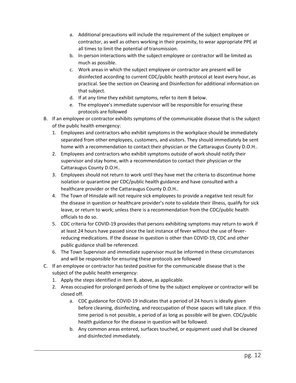- a. Additional precautions will include the requirement of the subject employee or contractor, as well as others working in their proximity, to wear appropriate PPE at all times to limit the potential of transmission.
- b. In-person interactions with the subject employee or contractor will be limited as much as possible.
- c. Work areas in which the subject employee or contractor are present will be disinfected according to current CDC/public health protocol at least every hour, as practical. See the section on Cleaning and Disinfection for additional information on that subject.
- d. If at any time they exhibit symptoms, refer to item B below.
- e. The employee's immediate supervisor will be responsible for ensuring these protocols are followed
- B. If an employee or contractor exhibits symptoms of the communicable disease that is the subject of the public health emergency:
	- 1. Employees and contractors who exhibit symptoms in the workplace should be immediately separated from other employees, customers, and visitors. They should immediately be sent home with a recommendation to contact their physician or the Cattaraugus County D.O.H..
	- 2. Employees and contractors who exhibit symptoms outside of work should notify their supervisor and stay home, with a recommendation to contact their physician or the Cattaraugus County D.O.H..
	- 3. Employees should not return to work until they have met the criteria to discontinue home isolation or quarantine per CDC/public health guidance and have consulted with a healthcare provider or the Cattaraugus County D.O.H..
	- 4. The Town of Hinsdale will not require sick employees to provide a negative test result for the disease in question or healthcare provider's note to validate their illness, qualify for sick leave, or return to work; unless there is a recommendation from the CDC/public health officials to do so.
	- 5. CDC criteria for COVID-19 provides that persons exhibiting symptoms may return to work if at least 24 hours have passed since the last instance of fever without the use of feverreducing medications. If the disease in question is other than COVID-19, CDC and other public guidance shall be referenced.
	- 6. The Town Supervisor and immediate supervisor must be informed in these circumstances and will be responsible for ensuring these protocols are followed
- C. If an employee or contractor has tested positive for the communicable disease that is the subject of the public health emergency:
	- 1. Apply the steps identified in item B, above, as applicable.
	- 2. Areas occupied for prolonged periods of time by the subject employee or contractor will be closed off.
		- a. CDC guidance for COVID-19 indicates that a period of 24 hours is ideally given before cleaning, disinfecting, and reoccupation of those spaces will take place. If this time period is not possible, a period of as long as possible will be given. CDC/public health guidance for the disease in question will be followed.
		- b. Any common areas entered, surfaces touched, or equipment used shall be cleaned and disinfected immediately.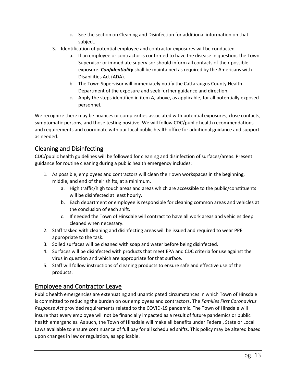- c. See the section on Cleaning and Disinfection for additional information on that subject.
- 3. Identification of potential employee and contractor exposures will be conducted
	- a. If an employee or contractor is confirmed to have the disease in question, the Town Supervisor or immediate supervisor should inform all contacts of their possible exposure. *Confidentiality* shall be maintained as required by the Americans with Disabilities Act (ADA).
	- b. The Town Supervisor will immediately notify the Cattaraugus County Health Department of the exposure and seek further guidance and direction.
	- c. Apply the steps identified in item A, above, as applicable, for all potentially exposed personnel.

We recognize there may be nuances or complexities associated with potential exposures, close contacts, symptomatic persons, and those testing positive. We will follow CDC/public health recommendations and requirements and coordinate with our local public health office for additional guidance and support as needed.

#### <span id="page-12-0"></span>Cleaning and Disinfecting

CDC/public health guidelines will be followed for cleaning and disinfection of surfaces/areas. Present guidance for routine cleaning during a public health emergency includes:

- 1. As possible, employees and contractors will clean their own workspaces in the beginning, middle, and end of their shifts, at a minimum.
	- a. High traffic/high touch areas and areas which are accessible to the public/constituents will be disinfected at least hourly.
	- b. Each department or employee is responsible for cleaning common areas and vehicles at the conclusion of each shift.
	- c. If needed the Town of Hinsdale will contract to have all work areas and vehicles deep cleaned when necessary.
- 2. Staff tasked with cleaning and disinfecting areas will be issued and required to wear PPE appropriate to the task.
- 3. Soiled surfaces will be cleaned with soap and water before being disinfected.
- 4. Surfaces will be disinfected with products that meet EPA and CDC criteria for use against the virus in question and which are appropriate for that surface.
- 5. Staff will follow instructions of cleaning products to ensure safe and effective use of the products.

#### <span id="page-12-1"></span>Employee and Contractor Leave

Public health emergencies are extenuating and unanticipated circumstances in which Town of Hinsdale is committed to reducing the burden on our employees and contractors. The *Families First Coronavirus Response Act* provided requirements related to the COVID-19 pandemic. The Town of Hinsdale will insure that every employee will not be financially impacted as a result of future pandemics or public health emergencies. As such, the Town of Hinsdale will make all benefits under Federal, State or Local Laws available to ensure continuance of full pay for all scheduled shifts. This policy may be altered based upon changes in law or regulation, as applicable.